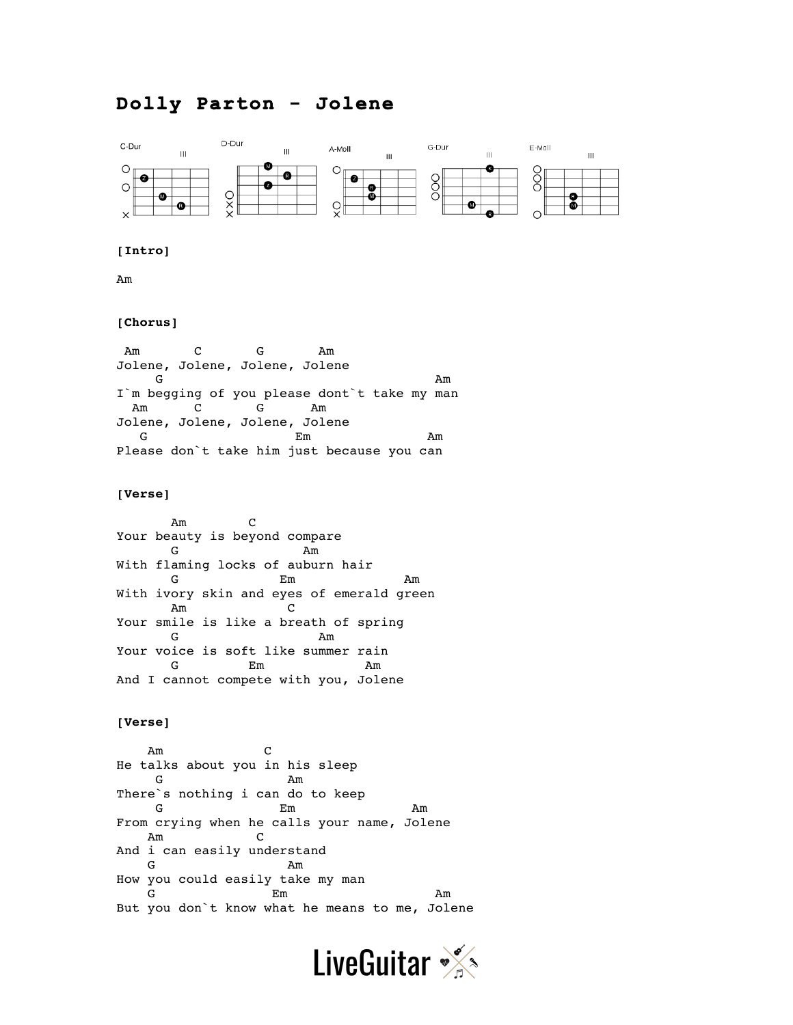# **Dolly Parton - Jolene**



## **[Intro]**

Am

#### **[Chorus]**

Am C G Am Jolene, Jolene, Jolene, Jolene  $G$  and  $A$ m I'm begging of you please dont't take my man Am C G Am Jolene, Jolene, Jolene, Jolene G B Em Am Please don`t take him just because you can

## **[Verse]**

 Am C Your beauty is beyond compare G Am With flaming locks of auburn hair G Em Am With ivory skin and eyes of emerald green Am C Your smile is like a breath of spring G Am Your voice is soft like summer rain G Em Am And I cannot compete with you, Jolene

## **[Verse]**

 Am C He talks about you in his sleep G Am There`s nothing i can do to keep G BM Em Am From crying when he calls your name, Jolene Am C And i can easily understand G Am How you could easily take my man G Em Am But you don`t know what he means to me, Jolene